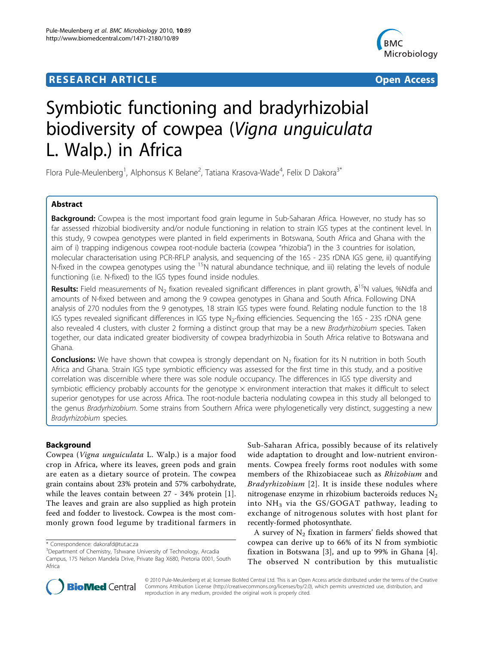# **RESEARCH ARTICLE Example 2018 12:30 THE Open Access**



# Symbiotic functioning and bradyrhizobial biodiversity of cowpea (Vigna unguiculata L. Walp.) in Africa

Flora Pule-Meulenberg<sup>1</sup>, Alphonsus K Belane<sup>2</sup>, Tatiana Krasova-Wade<sup>4</sup>, Felix D Dakora<sup>3\*</sup>

# Abstract

Background: Cowpea is the most important food grain legume in Sub-Saharan Africa. However, no study has so far assessed rhizobial biodiversity and/or nodule functioning in relation to strain IGS types at the continent level. In this study, 9 cowpea genotypes were planted in field experiments in Botswana, South Africa and Ghana with the aim of i) trapping indigenous cowpea root-nodule bacteria (cowpea "rhizobia") in the 3 countries for isolation, molecular characterisation using PCR-RFLP analysis, and sequencing of the 16S - 23S rDNA IGS gene, ii) quantifying N-fixed in the cowpea genotypes using the <sup>15</sup>N natural abundance technique, and iii) relating the levels of nodule functioning (i.e. N-fixed) to the IGS types found inside nodules.

**Results:** Field measurements of N<sub>2</sub> fixation revealed significant differences in plant growth,  $\delta^{15}$ N values, %Ndfa and amounts of N-fixed between and among the 9 cowpea genotypes in Ghana and South Africa. Following DNA analysis of 270 nodules from the 9 genotypes, 18 strain IGS types were found. Relating nodule function to the 18 IGS types revealed significant differences in IGS type N<sub>2</sub>-fixing efficiencies. Sequencing the 16S - 23S rDNA gene also revealed 4 clusters, with cluster 2 forming a distinct group that may be a new Bradyrhizobium species. Taken together, our data indicated greater biodiversity of cowpea bradyrhizobia in South Africa relative to Botswana and Ghana.

**Conclusions:** We have shown that cowpea is strongly dependant on  $N<sub>2</sub>$  fixation for its N nutrition in both South Africa and Ghana. Strain IGS type symbiotic efficiency was assessed for the first time in this study, and a positive correlation was discernible where there was sole nodule occupancy. The differences in IGS type diversity and symbiotic efficiency probably accounts for the genotype  $\times$  environment interaction that makes it difficult to select superior genotypes for use across Africa. The root-nodule bacteria nodulating cowpea in this study all belonged to the genus Bradyrhizobium. Some strains from Southern Africa were phylogenetically very distinct, suggesting a new Bradyrhizobium species.

# Background

Cowpea (Vigna unguiculata L. Walp.) is a major food crop in Africa, where its leaves, green pods and grain are eaten as a dietary source of protein. The cowpea grain contains about 23% protein and 57% carbohydrate, while the leaves contain between 27 - 34% protein [[1\]](#page-10-0). The leaves and grain are also supplied as high protein feed and fodder to livestock. Cowpea is the most commonly grown food legume by traditional farmers in Sub-Saharan Africa, possibly because of its relatively wide adaptation to drought and low-nutrient environments. Cowpea freely forms root nodules with some members of the Rhizobiaceae such as Rhizobium and Bradyrhizobium [[2\]](#page-10-0). It is inside these nodules where nitrogenase enzyme in rhizobium bacteroids reduces  $N_2$ into  $NH<sub>3</sub>$  via the GS/GOGAT pathway, leading to exchange of nitrogenous solutes with host plant for recently-formed photosynthate.

A survey of  $N_2$  fixation in farmers' fields showed that cowpea can derive up to 66% of its N from symbiotic fixation in Botswana [\[3](#page-10-0)], and up to 99% in Ghana [[4](#page-10-0)]. The observed N contribution by this mutualistic



© 2010 Pule-Meulenberg et al; licensee BioMed Central Ltd. This is an Open Access article distributed under the terms of the Creative Commons Attribution License [\(http://creativecommons.org/licenses/by/2.0](http://creativecommons.org/licenses/by/2.0)), which permits unrestricted use, distribution, and reproduction in any medium, provided the original work is properly cited.

<sup>\*</sup> Correspondence: [dakorafd@tut.ac.za](mailto:dakorafd@tut.ac.za)

<sup>&</sup>lt;sup>3</sup>Department of Chemistry, Tshwane University of Technology, Arcadia Campus, 175 Nelson Mandela Drive, Private Bag X680, Pretoria 0001, South Africa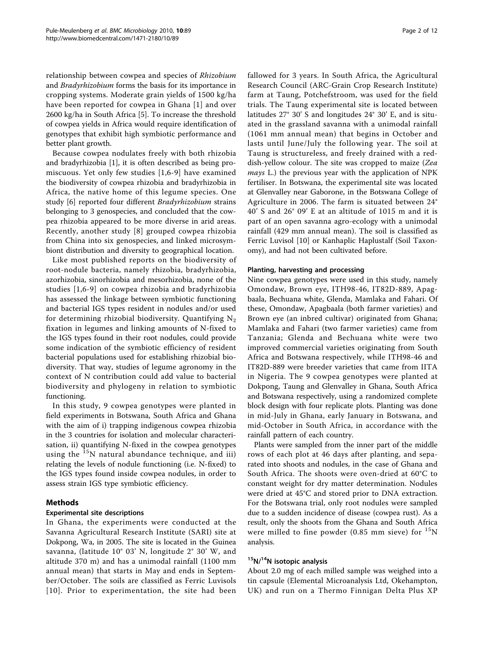relationship between cowpea and species of Rhizobium and Bradyrhizobium forms the basis for its importance in cropping systems. Moderate grain yields of 1500 kg/ha have been reported for cowpea in Ghana [[1](#page-10-0)] and over 2600 kg/ha in South Africa [\[5\]](#page-10-0). To increase the threshold of cowpea yields in Africa would require identification of genotypes that exhibit high symbiotic performance and better plant growth.

Because cowpea nodulates freely with both rhizobia and bradyrhizobia [\[1](#page-10-0)], it is often described as being promiscuous. Yet only few studies [[1,6-9\]](#page-10-0) have examined the biodiversity of cowpea rhizobia and bradyrhizobia in Africa, the native home of this legume species. One study [\[6](#page-10-0)] reported four different Bradyrhizobium strains belonging to 3 genospecies, and concluded that the cowpea rhizobia appeared to be more diverse in arid areas. Recently, another study [[8](#page-10-0)] grouped cowpea rhizobia from China into six genospecies, and linked microsymbiont distribution and diversity to geographical location.

Like most published reports on the biodiversity of root-nodule bacteria, namely rhizobia, bradyrhizobia, azorhizobia, sinorhizobia and mesorhizobia, none of the studies [[1](#page-10-0),[6-9\]](#page-10-0) on cowpea rhizobia and bradyrhizobia has assessed the linkage between symbiotic functioning and bacterial IGS types resident in nodules and/or used for determining rhizobial biodiversity. Quantifying  $N_2$ fixation in legumes and linking amounts of N-fixed to the IGS types found in their root nodules, could provide some indication of the symbiotic efficiency of resident bacterial populations used for establishing rhizobial biodiversity. That way, studies of legume agronomy in the context of N contribution could add value to bacterial biodiversity and phylogeny in relation to symbiotic functioning.

In this study, 9 cowpea genotypes were planted in field experiments in Botswana, South Africa and Ghana with the aim of i) trapping indigenous cowpea rhizobia in the 3 countries for isolation and molecular characterisation, ii) quantifying N-fixed in the cowpea genotypes using the  $15N$  natural abundance technique, and iii) relating the levels of nodule functioning (i.e. N-fixed) to the IGS types found inside cowpea nodules, in order to assess strain IGS type symbiotic efficiency.

# Methods

## Experimental site descriptions

In Ghana, the experiments were conducted at the Savanna Agricultural Research Institute (SARI) site at Dokpong, Wa, in 2005. The site is located in the Guinea savanna, (latitude 10° 03' N, longitude 2° 30' W, and altitude 370 m) and has a unimodal rainfall (1100 mm annual mean) that starts in May and ends in September/October. The soils are classified as Ferric Luvisols [[10](#page-11-0)]. Prior to experimentation, the site had been fallowed for 3 years. In South Africa, the Agricultural Research Council (ARC-Grain Crop Research Institute) farm at Taung, Potchefstroom, was used for the field trials. The Taung experimental site is located between latitudes 27° 30' S and longitudes 24° 30' E, and is situated in the grassland savanna with a unimodal rainfall (1061 mm annual mean) that begins in October and lasts until June/July the following year. The soil at Taung is structureless, and freely drained with a reddish-yellow colour. The site was cropped to maize (Zea mays L.) the previous year with the application of NPK fertiliser. In Botswana, the experimental site was located at Glenvalley near Gaborone, in the Botswana College of Agriculture in 2006. The farm is situated between 24° 40' S and 26° 09' E at an altitude of 1015 m and it is part of an open savanna agro-ecology with a unimodal rainfall (429 mm annual mean). The soil is classified as Ferric Luvisol [\[10](#page-11-0)] or Kanhaplic Haplustalf (Soil Taxonomy), and had not been cultivated before.

#### Planting, harvesting and processing

Nine cowpea genotypes were used in this study, namely Omondaw, Brown eye, ITH98-46, IT82D-889, Apagbaala, Bechuana white, Glenda, Mamlaka and Fahari. Of these, Omondaw, Apagbaala (both farmer varieties) and Brown eye (an inbred cultivar) originated from Ghana; Mamlaka and Fahari (two farmer varieties) came from Tanzania; Glenda and Bechuana white were two improved commercial varieties originating from South Africa and Botswana respectively, while ITH98-46 and IT82D-889 were breeder varieties that came from IITA in Nigeria. The 9 cowpea genotypes were planted at Dokpong, Taung and Glenvalley in Ghana, South Africa and Botswana respectively, using a randomized complete block design with four replicate plots. Planting was done in mid-July in Ghana, early January in Botswana, and mid-October in South Africa, in accordance with the rainfall pattern of each country.

Plants were sampled from the inner part of the middle rows of each plot at 46 days after planting, and separated into shoots and nodules, in the case of Ghana and South Africa. The shoots were oven-dried at 60°C to constant weight for dry matter determination. Nodules were dried at 45°C and stored prior to DNA extraction. For the Botswana trial, only root nodules were sampled due to a sudden incidence of disease (cowpea rust). As a result, only the shoots from the Ghana and South Africa were milled to fine powder (0.85 mm sieve) for  $^{15}N$ analysis.

# <sup>15</sup>N/<sup>14</sup>N isotopic analysis

About 2.0 mg of each milled sample was weighed into a tin capsule (Elemental Microanalysis Ltd, Okehampton, UK) and run on a Thermo Finnigan Delta Plus XP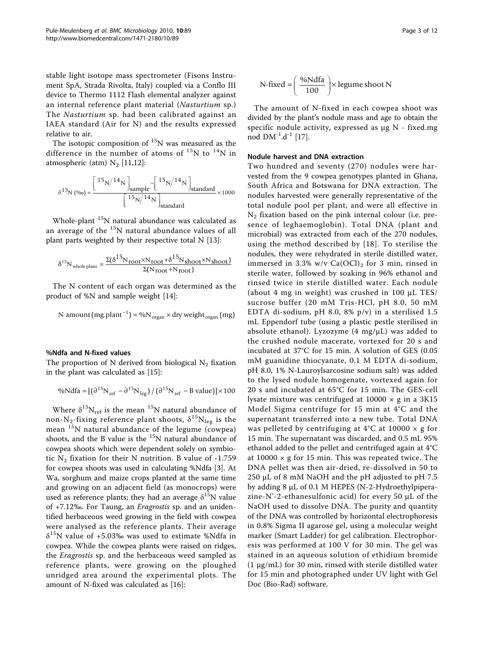stable light isotope mass spectrometer (Fisons Instrument SpA, Strada Rivolta, Italy) coupled via a Conflo III device to Thermo 1112 Flash elemental analyzer against an internal reference plant material (Nasturtium sp.) The Nasturtium sp. had been calibrated against an IAEA standard (Air for N) and the results expressed relative to air.

The isotopic composition of  ${}^{15}N$  was measured as the difference in the number of atoms of  $^{15}N$  to  $^{14}N$  in atmospheric (atm)  $N_2$  [[11,12](#page-11-0)]:

$$
\delta^{15}{\rm N} \, (\text{\%o}) = \frac{\left[\text{15}_{N}\text{/14}_{N}\right]_{sample} - \left[\text{15}_{N}\text{/14}_{N}\right]_{standard}}{\left[\text{15}_{N}\text{/14}_{N}\right]_{standard}} \times 1000
$$

Whole-plant 15N natural abundance was calculated as an average of the 15N natural abundance values of all plant parts weighted by their respective total N [\[13](#page-11-0)]:

$$
\delta^{15}N_{\text{whole plant}}=\frac{\Sigma(\delta^{15}N_{\text{root}}\times N_{\text{root}}+\delta^{15}N_{\text{shoot}}\times N_{\text{shoot}})}{\Sigma(N_{\text{root}}+N_{\text{root}})}
$$

The N content of each organ was determined as the product of %N and sample weight [[14](#page-11-0)]:

N amount mg.plant N dry weight mg organ organ ( )% ( ) <sup>1</sup>

## %Ndfa and N-fixed values

The proportion of N derived from biological  $N_2$  fixation in the plant was calculated as [\[15](#page-11-0)]:

$$
\% Ndfa = [(\partial^{15} N_{ref} - \partial^{15} N_{leg}) / (\partial^{15} N_{ref} - B value)] \times 100
$$

Where  $\delta^{15}N_{ref}$  is the mean  $^{15}N$  natural abundance of non-N<sub>2</sub>-fixing reference plant shoots,  $\delta^{15}N_{\text{leg}}$  is the mean <sup>15</sup>N natural abundance of the legume (cowpea) shoots, and the B value is the  $^{15}N$  natural abundance of cowpea shoots which were dependent solely on symbiotic  $N_2$  fixation for their N nutrition. B value of -1.759 for cowpea shoots was used in calculating %Ndfa [[3\]](#page-10-0). At Wa, sorghum and maize crops planted at the same time and growing on an adjacent field (as monocrops) were used as reference plants; they had an average  $\delta^{15}N$  value of +7.12‰. For Taung, an Eragrostis sp. and an unidentified herbaceous weed growing in the field with cowpea were analysed as the reference plants. Their average  $\delta^{15}$ N value of +5.03‰ was used to estimate %Ndfa in cowpea. While the cowpea plants were raised on ridges, the Eragrostis sp. and the herbaceous weed sampled as reference plants, were growing on the ploughed unridged area around the experimental plots. The amount of N-fixed was calculated as [\[16\]](#page-11-0):

N-fixed = 
$$
\left(\frac{\% Ndfa}{100}\right) \times
$$
 legume shoot N

The amount of N-fixed in each cowpea shoot was divided by the plant's nodule mass and age to obtain the specific nodule activity, expressed as μg N - fixed.mg nod  $DM^{-1}.d^{-1}$  [\[17\]](#page-11-0).

#### Nodule harvest and DNA extraction

Two hundred and seventy (270) nodules were harvested from the 9 cowpea genotypes planted in Ghana, South Africa and Botswana for DNA extraction. The nodules harvested were generally representative of the total nodule pool per plant, and were all effective in  $N_2$  fixation based on the pink internal colour (i.e. presence of leghaemoglobin). Total DNA (plant and microbial) was extracted from each of the 270 nodules, using the method described by [\[18](#page-11-0)]. To sterilise the nodules, they were rehydrated in sterile distilled water, immersed in 3.3% w/v  $Ca(OCl)<sub>2</sub>$  for 3 min, rinsed in sterile water, followed by soaking in 96% ethanol and rinsed twice in sterile distilled water. Each nodule (about 4 mg in weight) was crushed in 100 μL TES/ sucrose buffer (20 mM Tris-HCl, pH 8.0, 50 mM EDTA di-sodium, pH 8.0, 8% p/v) in a sterilised 1.5 mL Eppendorf tube (using a plastic pestle sterilised in absolute ethanol). Lyzozyme (4 mg/μL) was added to the crushed nodule macerate, vortexed for 20 s and incubated at 37°C for 15 min. A solution of GES (0.05 mM guanidine thiocyanate, 0.1 M EDTA di-sodium, pH 8.0, 1% N-Lauroylsarcosine sodium salt) was added to the lysed nodule homogenate, vortexed again for 20 s and incubated at 65°C for 15 min. The GES-cell lysate mixture was centrifuged at  $10000 \times g$  in a 3K15 Model Sigma centrifuge for 15 min at 4°C and the supernatant transferred into a new tube. Total DNA was pelleted by centrifuging at 4°C at 10000 × g for 15 min. The supernatant was discarded, and 0.5 mL 95% ethanol added to the pellet and centrifuged again at 4°C at  $10000 \times g$  for 15 min. This was repeated twice. The DNA pellet was then air-dried, re-dissolved in 50 to 250 μL of 8 mM NaOH and the pH adjusted to pH 7.5 by adding 8 μL of 0.1 M HEPES (N-2-Hydroethylpiperazine-N'-2-ethanesulfonic acid) for every 50  $\mu$ L of the NaOH used to dissolve DNA. The purity and quantity of the DNA was controlled by horizontal electrophoresis in 0.8% Sigma II agarose gel, using a molecular weight marker (Smart Ladder) for gel calibration. Electrophoresis was performed at 100 V for 30 min. The gel was stained in an aqueous solution of ethidium bromide  $(1 \mu g/mL)$  for 30 min, rinsed with sterile distilled water for 15 min and photographed under UV light with Gel Doc (Bio-Rad) software.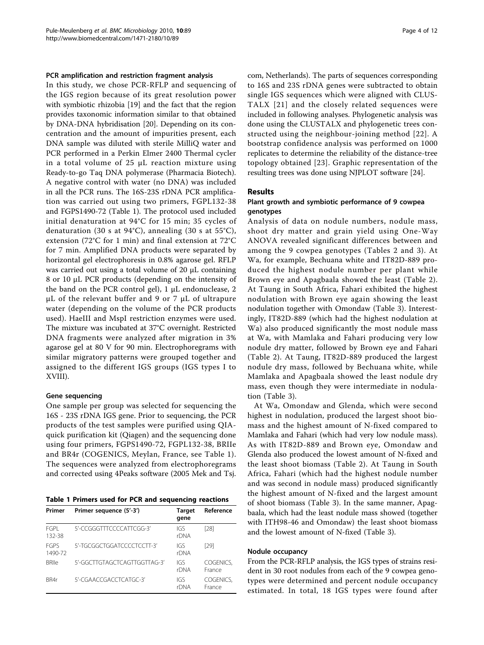#### PCR amplification and restriction fragment analysis

In this study, we chose PCR-RFLP and sequencing of the IGS region because of its great resolution power with symbiotic rhizobia [\[19\]](#page-11-0) and the fact that the region provides taxonomic information similar to that obtained by DNA-DNA hybridisation [\[20\]](#page-11-0). Depending on its concentration and the amount of impurities present, each DNA sample was diluted with sterile MilliQ water and PCR performed in a Perkin Elmer 2400 Thermal cycler in a total volume of 25 μL reaction mixture using Ready-to-go Taq DNA polymerase (Pharmacia Biotech). A negative control with water (no DNA) was included in all the PCR runs. The 16S-23S rDNA PCR amplification was carried out using two primers, FGPL132-38 and FGPS1490-72 (Table 1). The protocol used included initial denaturation at 94°C for 15 min; 35 cycles of denaturation (30 s at 94°C), annealing (30 s at 55°C), extension (72°C for 1 min) and final extension at 72°C for 7 min. Amplified DNA products were separated by horizontal gel electrophoresis in 0.8% agarose gel. RFLP was carried out using a total volume of 20 μL containing 8 or 10 μL PCR products (depending on the intensity of the band on the PCR control gel), 1 μL endonuclease, 2 μL of the relevant buffer and 9 or 7 μL of ultrapure water (depending on the volume of the PCR products used). HaeIII and MspI restriction enzymes were used. The mixture was incubated at 37°C overnight. Restricted DNA fragments were analyzed after migration in 3% agarose gel at 80 V for 90 min. Electrophoregrams with similar migratory patterns were grouped together and assigned to the different IGS groups (IGS types I to XVIII).

#### Gene sequencing

One sample per group was selected for sequencing the 16S - 23S rDNA IGS gene. Prior to sequencing, the PCR products of the test samples were purified using QIAquick purification kit (Qiagen) and the sequencing done using four primers, FGPS1490-72, FGPL132-38, BRIIe and BR4r (COGENICS, Meylan, France, see Table 1). The sequences were analyzed from electrophoregrams and corrected using 4Peaks software (2005 Mek and Tsj.

Table 1 Primers used for PCR and sequencing reactions

| Primer                 | Primer sequence (5'-3')      | Target<br>qene | Reference           |
|------------------------|------------------------------|----------------|---------------------|
| FGPI<br>132-38         | 5'-CCGGGTTTCCCCATTCGG-3'     | IGS<br>rDNA    | [28]                |
| <b>FGPS</b><br>1490-72 | 5'-TGCGGCTGGATCCCCTCCTT-3'   | IGS<br>rDNA    | [29]                |
| <b>BRIIe</b>           | 5'-GGCTTGTAGCTCAGTTGGTTAG-3' | IGS<br>rDNA    | COGENICS,<br>France |
| RR4r                   | 5'-CGAACCGACCTCATGC-3'       | IGS<br>rDNA    | COGENICS.<br>France |

com, Netherlands). The parts of sequences corresponding to 16S and 23S rDNA genes were subtracted to obtain single IGS sequences which were aligned with CLUS-TALX [[21](#page-11-0)] and the closely related sequences were included in following analyses. Phylogenetic analysis was done using the CLUSTALX and phylogenetic trees constructed using the neighbour-joining method [[22](#page-11-0)]. A bootstrap confidence analysis was performed on 1000 replicates to determine the reliability of the distance-tree topology obtained [[23](#page-11-0)]. Graphic representation of the resulting trees was done using NJPLOT software [\[24\]](#page-11-0).

#### Results

#### Plant growth and symbiotic performance of 9 cowpea genotypes

Analysis of data on nodule numbers, nodule mass, shoot dry matter and grain yield using One-Way ANOVA revealed significant differences between and among the 9 cowpea genotypes (Tables [2](#page-4-0) and [3](#page-5-0)). At Wa, for example, Bechuana white and IT82D-889 produced the highest nodule number per plant while Brown eye and Apagbaala showed the least (Table [2](#page-4-0)). At Taung in South Africa, Fahari exhibited the highest nodulation with Brown eye again showing the least nodulation together with Omondaw (Table [3](#page-5-0)). Interestingly, IT82D-889 (which had the highest nodulation at Wa) also produced significantly the most nodule mass at Wa, with Mamlaka and Fahari producing very low nodule dry matter, followed by Brown eye and Fahari (Table [2](#page-4-0)). At Taung, IT82D-889 produced the largest nodule dry mass, followed by Bechuana white, while Mamlaka and Apagbaala showed the least nodule dry mass, even though they were intermediate in nodulation (Table [3\)](#page-5-0).

At Wa, Omondaw and Glenda, which were second highest in nodulation, produced the largest shoot biomass and the highest amount of N-fixed compared to Mamlaka and Fahari (which had very low nodule mass). As with IT82D-889 and Brown eye, Omondaw and Glenda also produced the lowest amount of N-fixed and the least shoot biomass (Table [2\)](#page-4-0). At Taung in South Africa, Fahari (which had the highest nodule number and was second in nodule mass) produced significantly the highest amount of N-fixed and the largest amount of shoot biomass (Table [3](#page-5-0)). In the same manner, Apagbaala, which had the least nodule mass showed (together with ITH98-46 and Omondaw) the least shoot biomass and the lowest amount of N-fixed (Table [3\)](#page-5-0).

#### Nodule occupancy

From the PCR-RFLP analysis, the IGS types of strains resident in 30 root nodules from each of the 9 cowpea genotypes were determined and percent nodule occupancy estimated. In total, 18 IGS types were found after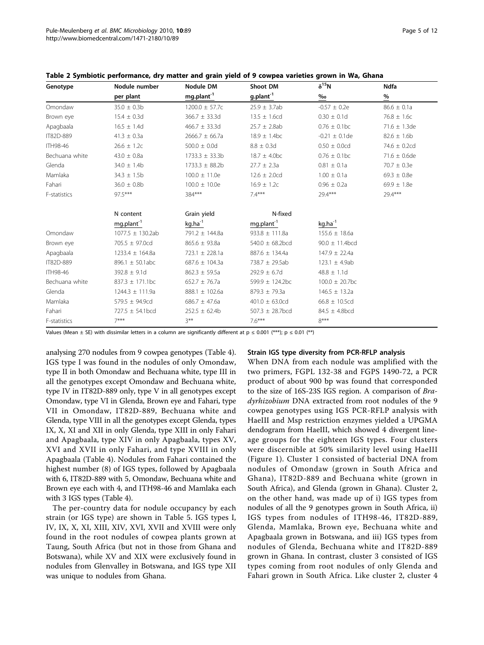| Genotype        | Nodule number          | <b>Nodule DM</b>       | <b>Shoot DM</b>        | $\delta^{15}N$               | <b>Ndfa</b>       |
|-----------------|------------------------|------------------------|------------------------|------------------------------|-------------------|
|                 | per plant              | mg.plant <sup>-1</sup> | g.plant <sup>-1</sup>  | $\frac{\%}{\ }$              | $\frac{9}{6}$     |
| Omondaw         | $35.0 \pm 0.3$ b       | $1200.0 \pm 57.7c$     | $25.9 \pm 3.7ab$       | $-0.57 \pm 0.2e$             | $86.6 \pm 0.1a$   |
| Brown eye       | $15.4 \pm 0.3d$        | $366.7 \pm 33.3d$      | $13.5 \pm 1.6$ cd      | $0.30 \pm 0.1d$              | $76.8 \pm 1.6c$   |
| Apagbaala       | $16.5 \pm 1.4d$        | $466.7 \pm 33.3d$      | $25.7 \pm 2.8ab$       | $0.76 \pm 0.1$ bc            | $71.6 \pm 1.3$ de |
| IT82D-889       | $41.3 \pm 0.3a$        | $2666.7 \pm 66.7a$     | $18.9 \pm 1.4$ bc      | $-0.21 \pm 0.1$ de           | $82.6 \pm 1.6$ b  |
| <b>ITH98-46</b> | $26.6 \pm 1.2c$        | $500.0 \pm 0.0d$       | $8.8 \pm 0.3$ d        | $0.50 \pm 0.0$ cd            | 74.6 $\pm$ 0.2cd  |
| Bechuana white  | $43.0 \pm 0.8a$        | $1733.3 \pm 33.3b$     | $18.7 \pm 4.0$ bc      | $0.76 \pm 0.1$ <sub>bc</sub> | $71.6 \pm 0.6$ de |
| Glenda          | $34.0 \pm 1.4$ b       | $1733.3 \pm 88.2b$     | $27.7 \pm 2.3a$        | $0.81 \pm 0.1a$              | $70.7 \pm 0.3e$   |
| Mamlaka         | $34.3 \pm 1.5b$        | $100.0 \pm 11.0e$      | $12.6 \pm 2.0$ cd      | $1.00 \pm 0.1a$              | $69.3 \pm 0.8$ e  |
| Fahari          | $36.0 \pm 0.8$ b       | $100.0 \pm 10.0e$      | $16.9 \pm 1.2c$        | $0.96 \pm 0.2a$              | $69.9 \pm 1.8$ e  |
| F-statistics    | 97.5***                | 384***                 | $7.4***$               | $79.4***$                    | 29.4***           |
|                 | N content              | Grain yield            | N-fixed                |                              |                   |
|                 | mg.plant <sup>-1</sup> | kg.ha <sup>-1</sup>    | mg.plant <sup>-1</sup> | $kg.ha^{-1}$                 |                   |
| Omondaw         | 1077.5 ± 130.2ab       | 791.2 ± 144.8a         | $933.8 \pm 111.8a$     | $155.6 \pm 18.6a$            |                   |
| Brown eye       | 705.5 ± 97.0cd         | $865.6 \pm 93.8a$      | 540.0 $\pm$ 68.2bcd    | $90.0 \pm 11.4$ bcd          |                   |
| Apagbaala       | $1233.4 \pm 164.8a$    | $723.1 \pm 228.1a$     | $887.6 \pm 134.4a$     | $147.9 \pm 22.4a$            |                   |
| IT82D-889       | 896.1 $\pm$ 50.1abc    | 687.6 $\pm$ 104.3a     | 738.7 ± 29.5ab         | 123.1 $\pm$ 4.9ab            |                   |
| <b>ITH98-46</b> | $392.8 \pm 9.1$ d      | $862.3 \pm 59.5a$      | $292.9 \pm 6.7$ d      | $48.8 \pm 1.1d$              |                   |
| Bechuana white  | $837.3 \pm 171.1$ bc   | 652.7 $\pm$ 76.7a      | 599.9 ± 124.2bc        | $100.0 \pm 20.7$ bc          |                   |
| Glenda          | $1244.3 \pm 111.9a$    | 888.1 ± 102.6a         | 879.3 $\pm$ 79.3a      | $146.5 \pm 13.2a$            |                   |
| Mamlaka         | 579.5 ± 94.9cd         | 686.7 $\pm$ 47.6a      | $401.0 \pm 63.0$ cd    | $66.8 \pm 10.5$ cd           |                   |
| Fahari          | $727.5 \pm 54.1$ bcd   | $252.5 \pm 62.4b$      | 507.3 $\pm$ 28.7bcd    | $84.5 \pm 4.8$ bcd           |                   |
| F-statistics    | $7***$                 | $3***$                 | $7.6***$               | $8***$                       |                   |

<span id="page-4-0"></span>Table 2 Symbiotic performance, dry matter and grain yield of 9 cowpea varieties grown in Wa, Ghana

Values (Mean  $\pm$  SE) with dissimilar letters in a column are significantly different at  $p \le 0.001$  (\*\*\*);  $p \le 0.01$  (\*\*)

analysing 270 nodules from 9 cowpea genotypes (Table [4](#page-5-0)). IGS type I was found in the nodules of only Omondaw, type II in both Omondaw and Bechuana white, type III in all the genotypes except Omondaw and Bechuana white, type IV in IT82D-889 only, type V in all genotypes except Omondaw, type VI in Glenda, Brown eye and Fahari, type VII in Omondaw, IT82D-889, Bechuana white and Glenda, type VIII in all the genotypes except Glenda, types IX, X, XI and XII in only Glenda, type XIII in only Fahari and Apagbaala, type XIV in only Apagbaala, types XV, XVI and XVII in only Fahari, and type XVIII in only Apagbaala (Table [4\)](#page-5-0). Nodules from Fahari contained the highest number (8) of IGS types, followed by Apagbaala with 6, IT82D-889 with 5, Omondaw, Bechuana white and Brown eye each with 4, and ITH98-46 and Mamlaka each with 3 IGS types (Table [4](#page-5-0)).

The per-country data for nodule occupancy by each strain (or IGS type) are shown in Table [5.](#page-6-0) IGS types I, IV, IX, X, XI, XIII, XIV, XVI, XVII and XVIII were only found in the root nodules of cowpea plants grown at Taung, South Africa (but not in those from Ghana and Botswana), while XV and XIX were exclusively found in nodules from Glenvalley in Botswana, and IGS type XII was unique to nodules from Ghana.

#### Strain IGS type diversity from PCR-RFLP analysis

When DNA from each nodule was amplified with the two primers, FGPL 132-38 and FGPS 1490-72, a PCR product of about 900 bp was found that corresponded to the size of 16S-23S IGS region. A comparison of Bradyrhizobium DNA extracted from root nodules of the 9 cowpea genotypes using IGS PCR-RFLP analysis with HaeIII and Msp restriction enzymes yielded a UPGMA dendogram from HaeIII, which showed 4 divergent lineage groups for the eighteen IGS types. Four clusters were discernible at 50% similarity level using HaeIII (Figure [1\)](#page-6-0). Cluster 1 consisted of bacterial DNA from nodules of Omondaw (grown in South Africa and Ghana), IT82D-889 and Bechuana white (grown in South Africa), and Glenda (grown in Ghana). Cluster 2, on the other hand, was made up of i) IGS types from nodules of all the 9 genotypes grown in South Africa, ii) IGS types from nodules of ITH98-46, IT82D-889, Glenda, Mamlaka, Brown eye, Bechuana white and Apagbaala grown in Botswana, and iii) IGS types from nodules of Glenda, Bechuana white and IT82D-889 grown in Ghana. In contrast, cluster 3 consisted of IGS types coming from root nodules of only Glenda and Fahari grown in South Africa. Like cluster 2, cluster 4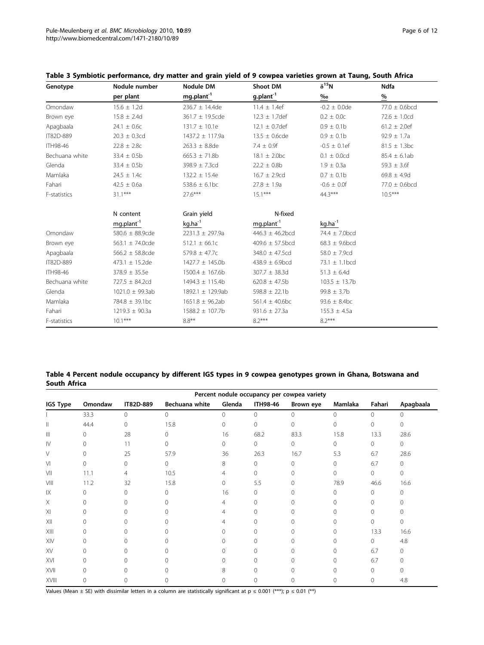| Genotype        | Nodule number        | <b>Nodule DM</b>       | <b>Shoot DM</b>              | $\delta^{15}N$     | <b>Ndfa</b>        |
|-----------------|----------------------|------------------------|------------------------------|--------------------|--------------------|
|                 | per plant            | mg.plant <sup>-1</sup> | g.plant <sup>-1</sup>        | $\frac{960}{2}$    | $\frac{9}{6}$      |
| Omondaw         | $15.6 \pm 1.2d$      | $236.7 \pm 14.4$ de    | $11.4 \pm 1.4$ ef            | $-0.2 \pm 0.0$ de  | $77.0 \pm 0.6$ bcd |
| Brown eye       | $15.8 \pm 2.4d$      | 361.7 ± 19.5cde        | $12.3 \pm 1.7$ def           | $0.2 \pm 0.0c$     | $72.6 \pm 1.0$ cd  |
| Apagbaala       | $24.1 \pm 0.6c$      | $131.7 \pm 10.1e$      | $12.1 \pm 0.7$ def           | $0.9 \pm 0.1$ b    | $61.2 \pm 2.0$ ef  |
| IT82D-889       | $20.3 \pm 0.3$ cd    | $1437.2 \pm 117.9a$    | $13.5 \pm 0.6$ cde           | $0.9 \pm 0.1$ b    | $92.9 \pm 1.7a$    |
| <b>ITH98-46</b> | $22.8 \pm 2.8c$      | $263.3 \pm 8.8$ de     | $7.4 \pm 0.9f$               | $-0.5 \pm 0.1$ ef  | $81.5 \pm 1.3$ bc  |
| Bechuana white  | $33.4 \pm 0.5b$      | $665.3 \pm 71.8b$      | $18.1 \pm 2.0$ <sub>bc</sub> | $0.1 \pm 0.0$ cd   | $85.4 \pm 6.1ab$   |
| Glenda          | $33.4 \pm 0.5b$      | 398.9 ± 7.3cd          | $22.2 \pm 0.8b$              | $1.9 \pm 0.3a$     | 59.3 $\pm$ 3.6f    |
| Mamlaka         | $24.5 \pm 1.4c$      | $132.2 \pm 15.4e$      | $16.7 \pm 2.9$ cd            | $0.7 \pm 0.1$ b    | $69.8 \pm 4.9d$    |
| Fahari          | $42.5 \pm 0.6a$      | 538.6 $\pm$ 6.1bc      | $27.8 \pm 1.9a$              | $-0.6 \pm 0.0$ f   | $77.0 \pm 0.6$ bcd |
| F-statistics    | $31.1***$            | $27.6***$              | $15.1***$                    | 44.3***            | $10.5***$          |
|                 | N content            | Grain yield            | N-fixed                      |                    |                    |
|                 | $mg.plant^{-1}$      | $kg.ha^{-1}$           | mg.plant <sup>-1</sup>       | $kg.ha^{-1}$       |                    |
| Omondaw         | 580.6 ± 88.9cde      | $2231.3 \pm 297.9a$    | $446.3 \pm 46.2$ bcd         | 74.4 ± 7.0bcd      |                    |
| Brown eye       | 563.1 $\pm$ 74.0cde  | $512.1 \pm 66.1c$      | $409.6 \pm 57.5$ bcd         | $68.3 \pm 9.6$ bcd |                    |
| Apagbaala       | $566.2 \pm 58.8$ cde | 579.8 $\pm$ 47.7c      | 348.0 ± 47.5cd               | 58.0 $\pm$ 7.9cd   |                    |
| IT82D-889       | 473.1 $\pm$ 15.2de   | $1427.7 \pm 145.0$ b   | $438.9 \pm 6.9$ bcd          | 73.1 $\pm$ 1.1 bcd |                    |
| <b>ITH98-46</b> | $378.9 \pm 35.5e$    | $1500.4 \pm 167.6$ b   | $307.7 \pm 38.3d$            | $51.3 \pm 6.4d$    |                    |
| Bechuana white  | $727.5 \pm 84.2cd$   | 1494.3 ± 115.4b        | $620.8 \pm 47.5b$            | $103.5 \pm 13.7b$  |                    |
| Glenda          | 1021.0 ± 99.3ab      | 1892.1 ± 129.9ab       | $598.8 \pm 22.1$ b           | $99.8 \pm 3.7$ b   |                    |
| Mamlaka         | $784.8 \pm 39.1$ bc  | $1651.8 \pm 96.2ab$    | $561.4 \pm 40.6$ bc          | $93.6 \pm 8.4$ bc  |                    |
| Fahari          | $1219.3 \pm 90.3a$   | $1588.2 \pm 107.7b$    | 931.6 $\pm$ 27.3a            | $155.3 \pm 4.5a$   |                    |
| F-statistics    | $10.1***$            | $8.8***$               | $8.2***$                     | $8.2***$           |                    |

#### <span id="page-5-0"></span>Table 3 Symbiotic performance, dry matter and grain yield of 9 cowpea varieties grown at Taung, South Africa

Table 4 Percent nodule occupancy by different IGS types in 9 cowpea genotypes grown in Ghana, Botswana and South Africa

|              | Percent nodule occupancy per cowpea variety |           |                |          |                 |           |          |              |           |
|--------------|---------------------------------------------|-----------|----------------|----------|-----------------|-----------|----------|--------------|-----------|
| IGS Type     | Omondaw                                     | IT82D-889 | Bechuana white | Glenda   | <b>ITH98-46</b> | Brown eye | Mamlaka  | Fahari       | Apagbaala |
|              | 33.3                                        | $\circ$   | $\Omega$       | $\Omega$ | $\Omega$        | 0         | $\Omega$ | $\Omega$     | 0         |
| Ш            | 44.4                                        | $\circ$   | 15.8           | $\Omega$ | $\Omega$        | 0         | $\Omega$ | $\mathbf{0}$ | 0         |
| $\mathbb{H}$ | $\Omega$                                    | 28        | 0              | 16       | 68.2            | 83.3      | 15.8     | 13.3         | 28.6      |
| $\mathsf{N}$ | $\Omega$                                    | 11        | 0              | 0        | 0               | 0         | 0        | $\circ$      | $\circ$   |
| V            | $\Omega$                                    | 25        | 57.9           | 36       | 26.3            | 16.7      | 5.3      | 6.7          | 28.6      |
| $\vee$       | 0                                           | $\Omega$  | $\Omega$       | 8        | 0               | 0         | $\Omega$ | 6.7          | $\Omega$  |
| VII          | 11.1                                        | 4         | 10.5           | 4        | $\Omega$        | 0         | $\Omega$ | $\circ$      | $\Omega$  |
| VIII         | 11.2                                        | 32        | 15.8           | 0        | 5.5             | 0         | 78.9     | 46.6         | 16.6      |
| IX           | $\Omega$                                    | $\Omega$  | 0              | 16       | 0               |           | 0        | $\Omega$     | ∩         |
| X            | $\Omega$                                    | $\Omega$  | 0              | 4        | 0               |           | 0        | $\Omega$     |           |
| XI           | $\Omega$                                    | 0         | 0              | 4        | 0               | ∩         | $\Omega$ | $\Omega$     |           |
| XII          | $\Omega$                                    | $\Omega$  | Ω              | 4        |                 |           | ∩        | $\Omega$     | ∩         |
| XIII         | O                                           | $\Omega$  | ∩              | n        |                 |           | ∩        | 13.3         | 16.6      |
| XIV          | 0                                           | $\Omega$  |                |          |                 |           |          | $\circ$      | 4.8       |
| XV           | 0                                           | $\Omega$  | 0              | n        | Ω               |           | 0        | 6.7          | 0         |
| XVI          | $\cap$                                      | $\Omega$  | ∩              | U        | ∩               |           | ∩        | 6.7          | 0         |
| XVII         | $\cap$                                      | $\Omega$  |                | 8        |                 |           |          | $\Omega$     | U         |
| XVIII        | 0                                           | $\Omega$  |                | 0        | 0               |           | 0        | $\Omega$     | 4.8       |

Values (Mean ± SE) with dissimilar letters in a column are statistically significant at  $p \le 0.001$  (\*\*\*);  $p \le 0.01$  (\*\*)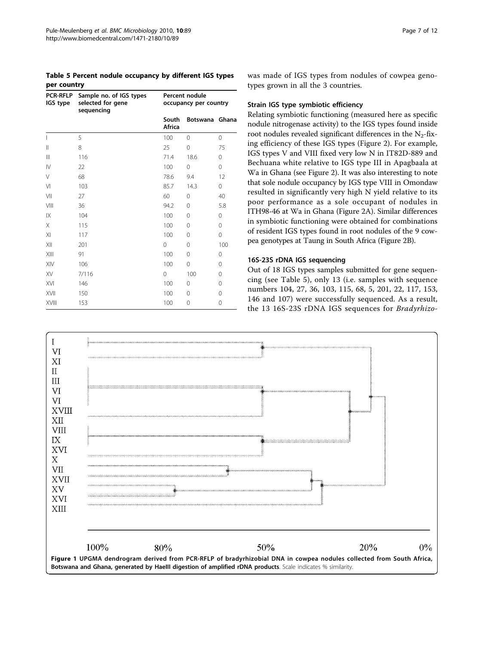<span id="page-6-0"></span>Table 5 Percent nodule occupancy by different IGS types per country

| <b>PCR-RFLP</b><br>IGS type | Sample no. of IGS types<br>selected for gene<br>sequencing | Percent nodule<br>occupancy per country |                |          |  |
|-----------------------------|------------------------------------------------------------|-----------------------------------------|----------------|----------|--|
|                             |                                                            | South<br>Africa                         | Botswana Ghana |          |  |
|                             | 5                                                          | 100                                     | $\Omega$       | 0        |  |
| $\mathsf{II}$               | 8                                                          | 25                                      | 0              | 75       |  |
| $\mathbf{III}$              | 116                                                        | 71.4                                    | 18.6           | $\Omega$ |  |
| $\mathsf{IV}$               | 22                                                         | 100                                     | 0              | 0        |  |
| V                           | 68                                                         | 78.6                                    | 9.4            | 12       |  |
| $\vee$                      | 103                                                        | 85.7                                    | 14.3           | 0        |  |
| VII                         | 27                                                         | 60                                      | $\Omega$       | 40       |  |
| VIII                        | 36                                                         | 94.2                                    | $\Omega$       | 5.8      |  |
| IX                          | 104                                                        | 100                                     | $\Omega$       | 0        |  |
| X                           | 115                                                        | 100                                     | $\Omega$       | 0        |  |
| XI                          | 117                                                        | 100                                     | $\Omega$       | 0        |  |
| XII                         | 201                                                        | $\Omega$                                | $\Omega$       | 100      |  |
| XIII                        | 91                                                         | 100                                     | $\Omega$       | 0        |  |
| XIV                         | 106                                                        | 100                                     | 0              | 0        |  |
| XV                          | 7/116                                                      | 0                                       | 100            | 0        |  |
| XVI                         | 146                                                        | 100                                     | $\Omega$       | $\Omega$ |  |
| XVII                        | 150                                                        | 100                                     | $\Omega$       | $\Omega$ |  |
| XVIII                       | 153                                                        | 100                                     | 0              | 0        |  |

was made of IGS types from nodules of cowpea genotypes grown in all the 3 countries.

#### Strain IGS type symbiotic efficiency

Relating symbiotic functioning (measured here as specific nodule nitrogenase activity) to the IGS types found inside root nodules revealed significant differences in the  $N_2$ -fixing efficiency of these IGS types (Figure [2\)](#page-7-0). For example, IGS types V and VIII fixed very low N in IT82D-889 and Bechuana white relative to IGS type III in Apagbaala at Wa in Ghana (see Figure [2](#page-7-0)). It was also interesting to note that sole nodule occupancy by IGS type VIII in Omondaw resulted in significantly very high N yield relative to its poor performance as a sole occupant of nodules in ITH98-46 at Wa in Ghana (Figure [2A\)](#page-7-0). Similar differences in symbiotic functioning were obtained for combinations of resident IGS types found in root nodules of the 9 cowpea genotypes at Taung in South Africa (Figure [2B\)](#page-7-0).

## 16S-23S rDNA IGS sequencing

Out of 18 IGS types samples submitted for gene sequencing (see Table 5), only 13 (i.e. samples with sequence numbers 104, 27, 36, 103, 115, 68, 5, 201, 22, 117, 153, 146 and 107) were successfully sequenced. As a result, the 13 16S-23S rDNA IGS sequences for Bradyrhizo-

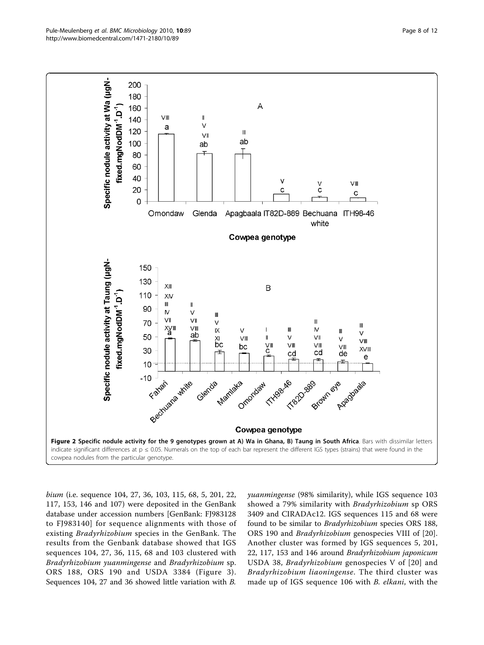

<span id="page-7-0"></span>

bium (i.e. sequence 104, 27, 36, 103, 115, 68, 5, 201, 22, 117, 153, 146 and 107) were deposited in the GenBank database under accession numbers [GenBank: FJ983128 to FJ983140] for sequence alignments with those of existing Bradyrhizobium species in the GenBank. The results from the Genbank database showed that IGS sequences 104, 27, 36, 115, 68 and 103 clustered with Bradyrhizobium yuanmingense and Bradyrhizobium sp. ORS 188, ORS 190 and USDA 3384 (Figure [3\)](#page-8-0). Sequences 104, 27 and 36 showed little variation with B.

yuanmingense (98% similarity), while IGS sequence 103 showed a 79% similarity with Bradyrhizobium sp ORS 3409 and CIRADAc12. IGS sequences 115 and 68 were found to be similar to Bradyrhizobium species ORS 188, ORS 190 and Bradyrhizobium genospecies VIII of [\[20](#page-11-0)]. Another cluster was formed by IGS sequences 5, 201, 22, 117, 153 and 146 around Bradyrhizobium japonicum USDA 38, Bradyrhizobium genospecies V of [[20](#page-11-0)] and Bradyrhizobium liaoningense. The third cluster was made up of IGS sequence 106 with B. elkani, with the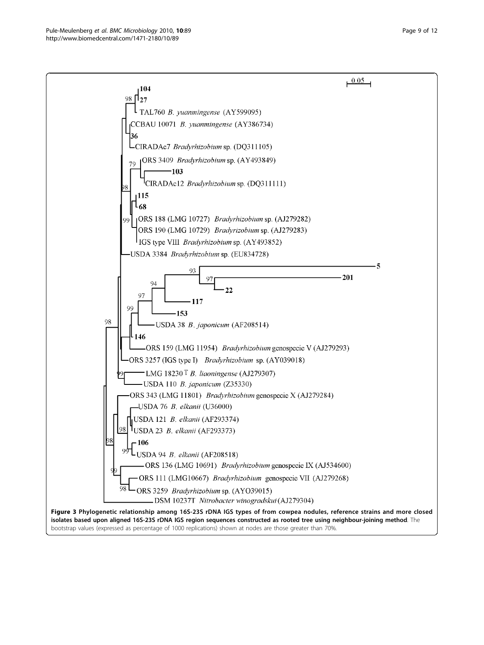<span id="page-8-0"></span>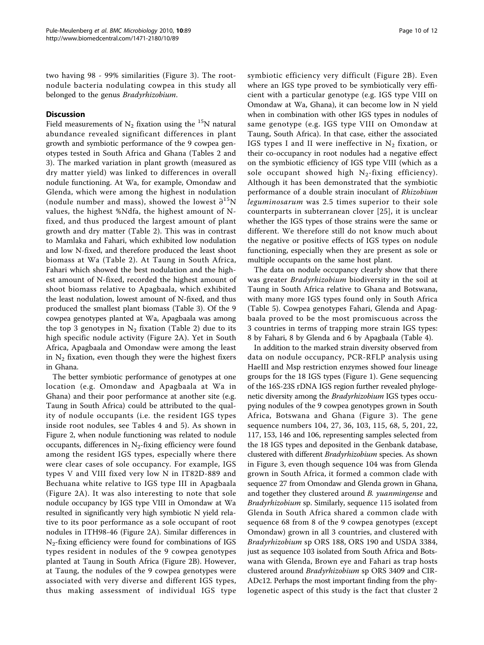two having 98 - 99% similarities (Figure [3](#page-8-0)). The rootnodule bacteria nodulating cowpea in this study all belonged to the genus Bradyrhizobium.

# **Discussion**

Field measurements of  $N_2$  fixation using the <sup>15</sup>N natural abundance revealed significant differences in plant growth and symbiotic performance of the 9 cowpea genotypes tested in South Africa and Ghana (Tables [2](#page-4-0) and [3\)](#page-5-0). The marked variation in plant growth (measured as dry matter yield) was linked to differences in overall nodule functioning. At Wa, for example, Omondaw and Glenda, which were among the highest in nodulation (nodule number and mass), showed the lowest  $\partial^{15}N$ values, the highest %Ndfa, the highest amount of Nfixed, and thus produced the largest amount of plant growth and dry matter (Table [2\)](#page-4-0). This was in contrast to Mamlaka and Fahari, which exhibited low nodulation and low N-fixed, and therefore produced the least shoot biomass at Wa (Table [2\)](#page-4-0). At Taung in South Africa, Fahari which showed the best nodulation and the highest amount of N-fixed, recorded the highest amount of shoot biomass relative to Apagbaala, which exhibited the least nodulation, lowest amount of N-fixed, and thus produced the smallest plant biomass (Table [3\)](#page-5-0). Of the 9 cowpea genotypes planted at Wa, Apagbaala was among the top 3 genotypes in  $N_2$  fixation (Table [2\)](#page-4-0) due to its high specific nodule activity (Figure [2A](#page-7-0)). Yet in South Africa, Apagbaala and Omondaw were among the least in  $N_2$  fixation, even though they were the highest fixers in Ghana.

The better symbiotic performance of genotypes at one location (e.g. Omondaw and Apagbaala at Wa in Ghana) and their poor performance at another site (e.g. Taung in South Africa) could be attributed to the quality of nodule occupants (i.e. the resident IGS types inside root nodules, see Tables [4](#page-5-0) and [5](#page-6-0)). As shown in Figure [2](#page-7-0), when nodule functioning was related to nodule occupants, differences in  $N_2$ -fixing efficiency were found among the resident IGS types, especially where there were clear cases of sole occupancy. For example, IGS types V and VIII fixed very low N in IT82D-889 and Bechuana white relative to IGS type III in Apagbaala (Figure [2A](#page-7-0)). It was also interesting to note that sole nodule occupancy by IGS type VIII in Omondaw at Wa resulted in significantly very high symbiotic N yield relative to its poor performance as a sole occupant of root nodules in ITH98-46 (Figure [2A\)](#page-7-0). Similar differences in  $N_2$ -fixing efficiency were found for combinations of IGS types resident in nodules of the 9 cowpea genotypes planted at Taung in South Africa (Figure [2B\)](#page-7-0). However, at Taung, the nodules of the 9 cowpea genotypes were associated with very diverse and different IGS types, thus making assessment of individual IGS type symbiotic efficiency very difficult (Figure [2B](#page-7-0)). Even where an IGS type proved to be symbiotically very efficient with a particular genotype (e.g. IGS type VIII on Omondaw at Wa, Ghana), it can become low in N yield when in combination with other IGS types in nodules of same genotype (e.g. IGS type VIII on Omondaw at Taung, South Africa). In that case, either the associated IGS types I and II were ineffective in  $N_2$  fixation, or their co-occupancy in root nodules had a negative effect on the symbiotic efficiency of IGS type VIII (which as a sole occupant showed high  $N_2$ -fixing efficiency). Although it has been demonstrated that the symbiotic performance of a double strain inoculant of Rhizobium leguminosarum was 2.5 times superior to their sole counterparts in subterranean clover [\[25\]](#page-11-0), it is unclear whether the IGS types of those strains were the same or different. We therefore still do not know much about the negative or positive effects of IGS types on nodule functioning, especially when they are present as sole or multiple occupants on the same host plant.

The data on nodule occupancy clearly show that there was greater Bradyrhizobium biodiversity in the soil at Taung in South Africa relative to Ghana and Botswana, with many more IGS types found only in South Africa (Table [5\)](#page-6-0). Cowpea genotypes Fahari, Glenda and Apagbaala proved to be the most promiscuous across the 3 countries in terms of trapping more strain IGS types: 8 by Fahari, 8 by Glenda and 6 by Apagbaala (Table [4\)](#page-5-0).

In addition to the marked strain diversity observed from data on nodule occupancy, PCR-RFLP analysis using HaeIII and Msp restriction enzymes showed four lineage groups for the 18 IGS types (Figure [1](#page-6-0)). Gene sequencing of the 16S-23S rDNA IGS region further revealed phylogenetic diversity among the Bradyrhizobium IGS types occupying nodules of the 9 cowpea genotypes grown in South Africa, Botswana and Ghana (Figure [3](#page-8-0)). The gene sequence numbers 104, 27, 36, 103, 115, 68, 5, 201, 22, 117, 153, 146 and 106, representing samples selected from the 18 IGS types and deposited in the Genbank database, clustered with different Bradyrhizobium species. As shown in Figure [3,](#page-8-0) even though sequence 104 was from Glenda grown in South Africa, it formed a common clade with sequence 27 from Omondaw and Glenda grown in Ghana, and together they clustered around B. yuanmingense and Bradyrhizobium sp. Similarly, sequence 115 isolated from Glenda in South Africa shared a common clade with sequence 68 from 8 of the 9 cowpea genotypes (except Omondaw) grown in all 3 countries, and clustered with Bradyrhizobium sp ORS 188, ORS 190 and USDA 3384, just as sequence 103 isolated from South Africa and Botswana with Glenda, Brown eye and Fahari as trap hosts clustered around Bradyrhizobium sp ORS 3409 and CIR-ADc12. Perhaps the most important finding from the phylogenetic aspect of this study is the fact that cluster 2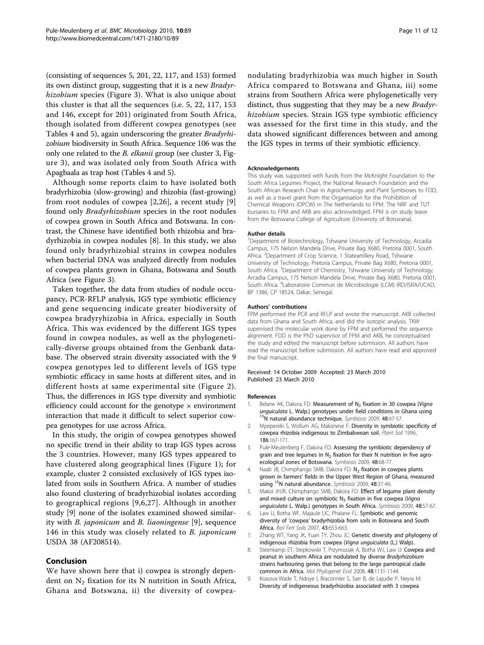<span id="page-10-0"></span>(consisting of sequences 5, 201, 22, 117, and 153) formed its own distinct group, suggesting that it is a new Bradyr-hizobium species (Figure [3\)](#page-8-0). What is also unique about this cluster is that all the sequences (i.e. 5, 22, 117, 153 and 146, except for 201) originated from South Africa, though isolated from different cowpea genotypes (see Tables [4](#page-5-0) and [5](#page-6-0)), again underscoring the greater Bradyrhizobium biodiversity in South Africa. Sequence 106 was the only one related to the *B. elkanii* group (see cluster 3, Figure [3\)](#page-8-0), and was isolated only from South Africa with Apagbaala as trap host (Tables [4](#page-5-0) and [5](#page-6-0)).

Although some reports claim to have isolated both bradyrhizobia (slow-growing) and rhizobia (fast-growing) from root nodules of cowpea [2,[26\]](#page-11-0), a recent study [9] found only Bradyrhizobium species in the root nodules of cowpea grown in South Africa and Botswana. In contrast, the Chinese have identified both rhizobia and bradyrhizobia in cowpea nodules [8]. In this study, we also found only bradyrhizobial strains in cowpea nodules when bacterial DNA was analyzed directly from nodules of cowpea plants grown in Ghana, Botswana and South Africa (see Figure [3](#page-8-0)).

Taken together, the data from studies of nodule occupancy, PCR-RFLP analysis, IGS type symbiotic efficiency and gene sequencing indicate greater biodiversity of cowpea bradyryhizobia in Africa, especially in South Africa. This was evidenced by the different IGS types found in cowpea nodules, as well as the phylogenetically-diverse groups obtained from the Genbank database. The observed strain diversity associated with the 9 cowpea genotypes led to different levels of IGS type symbiotic efficacy in same hosts at different sites, and in different hosts at same experimental site (Figure [2\)](#page-7-0). Thus, the differences in IGS type diversity and symbiotic efficiency could account for the genotype  $\times$  environment interaction that made it difficult to select superior cowpea genotypes for use across Africa.

In this study, the origin of cowpea genotypes showed no specific trend in their ability to trap IGS types across the 3 countries. However, many IGS types appeared to have clustered along geographical lines (Figure [1](#page-6-0)); for example, cluster 2 consisted exclusively of IGS types isolated from soils in Southern Africa. A number of studies also found clustering of bradyrhizobial isolates according to geographical regions [9,6,[27\]](#page-11-0). Although in another study [9] none of the isolates examined showed similarity with B. japonicum and B. liaoningense [9], sequence 146 in this study was closely related to B. japonicum USDA 38 (AF208514).

## Conclusion

We have shown here that i) cowpea is strongly dependent on  $N_2$  fixation for its N nutrition in South Africa, Ghana and Botswana, ii) the diversity of cowpeanodulating bradyrhizobia was much higher in South Africa compared to Botswana and Ghana, iii) some strains from Southern Africa were phylogenetically very distinct, thus suggesting that they may be a new *Bradyr*hizobium species. Strain IGS type symbiotic efficiency was assessed for the first time in this study, and the data showed significant differences between and among the IGS types in terms of their symbiotic efficiency.

#### Acknowledgements

This study was supported with funds from the McKnight Foundation to the South Africa Legumes Project, the National Research Foundation and the South African Research Chair in Agrochemurgy and Plant Symbioses to FDD, as well as a travel grant from the Organisation for the Prohibition of Chemical Weapons (OPCW) in The Netherlands to FPM. The NRF and TUT bursaries to FPM and AKB are also acknowledged. FPM is on study leave from the Botswana College of Agriculture (University of Botswana).

#### Author details

<sup>1</sup>Department of Biotechnology, Tshwane University of Technology, Arcadia Campus, 175 Nelson Mandela Drive, Private Bag X680, Pretoria 0001, South Africa. <sup>2</sup>Department of Crop Science, 1 Stateartillery Road, Tshwane University of Technology, Pretoria Campus, Private Bag X680, Pretoria 0001, South Africa. <sup>3</sup>Department of Chemistry, Tshwane University of Technology Arcadia Campus, 175 Nelson Mandela Drive, Private Bag X680, Pretoria 0001, South Africa. <sup>4</sup> Laboratoire Commun de Microbiologie (LCM) IRD/ISRA/UCAD BP 1386, CP 18524, Dakar, Senegal.

#### Authors' contributions

FPM performed the PCR and RFLP and wrote the manuscript. AKB collected data from Ghana and South Africa, and did the isotopic analysis. TKW supervised the molecular work done by FPM and performed the sequence alignment. FDD is the PhD supervisor of FPM and AKB, he conceptualised the study and edited the manuscript before submission. All authors have read the manuscript before submission. All authors have read and approved the final manuscript.

#### Received: 14 October 2009 Accepted: 23 March 2010 Published: 23 March 2010

#### References

- 1. Belane AK, Dakora FD: Measurement of N<sub>2</sub> fixation in 30 cowpea (Vigna unguiculata L. Walp.) genotypes under field conditions in Ghana using  $15N$  natural abundance technique. Symbiosis 2009, 48:47-57.
- 2. Mpepereki S, Wollum AG, Makonese F: Diversity in symbiotic specificity of cowpea rhizobia indigenous to Zimbabwean soil. Plant Soil 1996, 186:167-171.
- 3. Pule-Meulenberg F, Dakora FD: Assessing the symbiotic dependency of grain and tree legumes in  $N_2$  fixation for their N nutrition in five agroecological zones of Botswana. Symbiosis 2009, 48:68-77.
- 4. Naab JB, Chimphango SMB, Dakora FD: N<sub>2</sub> fixation in cowpea plants grown in farmers' fields in the Upper West Region of Ghana, measured using 15N natural abundance. Symbiosis 2009, 48:37-46.
- 5. Makoi JHJR, Chimphango SMB, Dakora FD: Effect of legume plant density and mixed culture on symbiotic  $N_2$  fixation in five cowpea (Vigna unguiculata L. Walp.) genotypes in South Africa. Symbiosis 2009, 48:57-67.
- 6. Law IJ, Botha WF, Majaule UC, Phalane FL: Symbiotic and genomic diversity of 'cowpea' bradyrhizobia from soils in Botswana and South Africa. Biol Fert Soils 2007, 43:653-663.
- 7. Zhang WT, Yang JK, Yuan TY, Zhou JC: Genetic diversity and phylogeny of indigenous rhizobia from cowpea (Vigna unguiculata (L.) Walp)..
- 8. Steenkamp ET, Stepkowski T, Przymusiak A, Botha WJ, Law IJ: [Cowpea and](http://www.ncbi.nlm.nih.gov/pubmed/18539053?dopt=Abstract) [peanut in southern Africa are nodulated by diverse](http://www.ncbi.nlm.nih.gov/pubmed/18539053?dopt=Abstract) Bradyrhizobium [strains harbouring genes that belong to the large pantropical clade](http://www.ncbi.nlm.nih.gov/pubmed/18539053?dopt=Abstract) [common in Africa.](http://www.ncbi.nlm.nih.gov/pubmed/18539053?dopt=Abstract) Mol Phylogenet Evol 2008, 48:1131-1144.
- 9. Krasova-Wade T, Ndoye I, Braconnier S, Sarr B, de Lajudie P, Neyra M: Diversity of indigeneous bradyrhizobia associated with 3 cowpea